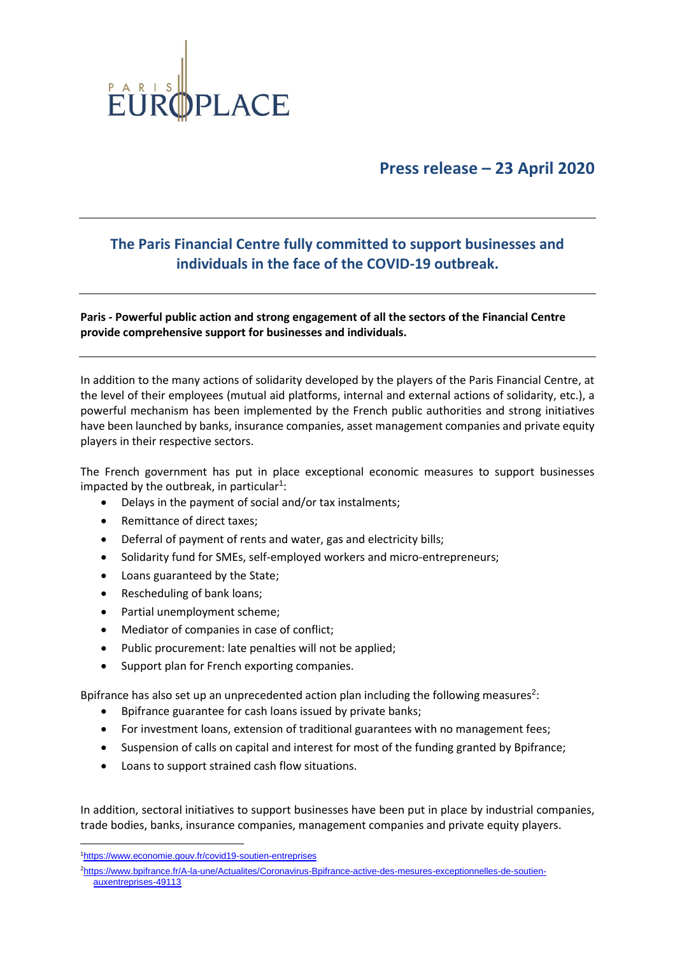

**Press release – 23 April 2020**

## **The Paris Financial Centre fully committed to support businesses and individuals in the face of the COVID-19 outbreak.**

**Paris - Powerful public action and strong engagement of all the sectors of the Financial Centre provide comprehensive support for businesses and individuals.**

In addition to the many actions of solidarity developed by the players of the Paris Financial Centre, at the level of their employees (mutual aid platforms, internal and external actions of solidarity, etc.), a powerful mechanism has been implemented by the French public authorities and strong initiatives have been launched by banks, insurance companies, asset management companies and private equity players in their respective sectors.

The French government has put in place exceptional economic measures to support businesses impacted by the outbreak, in particular<sup>1</sup>:

- Delays in the payment of social and/or tax instalments;
- Remittance of direct taxes;
- Deferral of payment of rents and water, gas and electricity bills;
- Solidarity fund for SMEs, self-employed workers and micro-entrepreneurs;
- Loans guaranteed by the State;
- Rescheduling of bank loans;
- Partial unemployment scheme;
- Mediator of companies in case of conflict;
- Public procurement: late penalties will not be applied;
- Support plan for French exporting companies.

Bpifrance has also set up an unprecedented action plan including the following measures<sup>2</sup>:

- Bpifrance guarantee for cash loans issued by private banks;
- For investment loans, extension of traditional guarantees with no management fees;
- Suspension of calls on capital and interest for most of the funding granted by Bpifrance;
- Loans to support strained cash flow situations.

In addition, sectoral initiatives to support businesses have been put in place by industrial companies, trade bodies, banks, insurance companies, management companies and private equity players.

<sup>1</sup><https://www.economie.gouv.fr/covid19-soutien-entreprises>

<sup>2</sup>[https://www.bpifrance.fr/A-la-une/Actualites/Coronavirus-Bpifrance-active-des-mesures-exceptionnelles-de-soutien](https://www.bpifrance.fr/A-la-une/Actualites/Coronavirus-Bpifrance-active-des-mesures-exceptionnelles-de-soutien-auxentreprises-49113)[auxentreprises-49113](https://www.bpifrance.fr/A-la-une/Actualites/Coronavirus-Bpifrance-active-des-mesures-exceptionnelles-de-soutien-auxentreprises-49113)